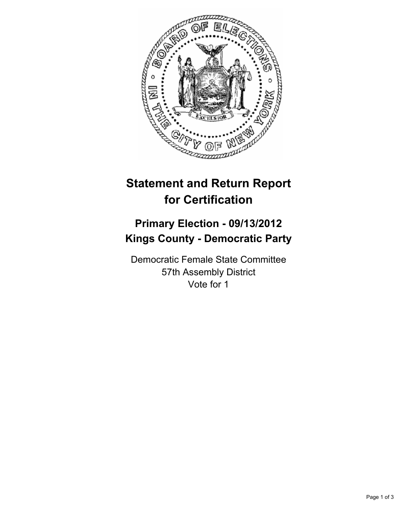

## **Statement and Return Report for Certification**

## **Primary Election - 09/13/2012 Kings County - Democratic Party**

Democratic Female State Committee 57th Assembly District Vote for 1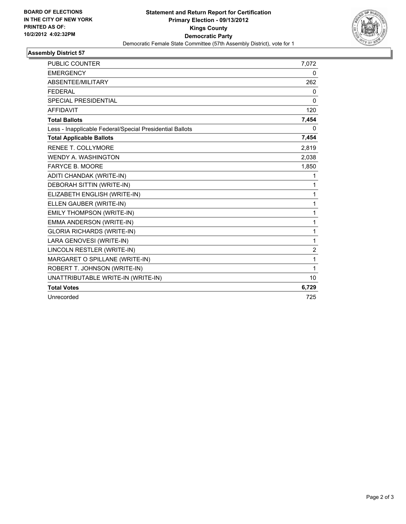

## **Assembly District 57**

| <b>PUBLIC COUNTER</b>                                    | 7,072          |
|----------------------------------------------------------|----------------|
| <b>EMERGENCY</b>                                         | 0              |
| ABSENTEE/MILITARY                                        | 262            |
| <b>FEDERAL</b>                                           | 0              |
| <b>SPECIAL PRESIDENTIAL</b>                              | 0              |
| <b>AFFIDAVIT</b>                                         | 120            |
| <b>Total Ballots</b>                                     | 7,454          |
| Less - Inapplicable Federal/Special Presidential Ballots | 0              |
| <b>Total Applicable Ballots</b>                          | 7,454          |
| <b>RENEE T. COLLYMORE</b>                                | 2,819          |
| <b>WENDY A. WASHINGTON</b>                               | 2,038          |
| <b>FARYCE B. MOORE</b>                                   | 1,850          |
| ADITI CHANDAK (WRITE-IN)                                 | 1              |
| DEBORAH SITTIN (WRITE-IN)                                | 1              |
| ELIZABETH ENGLISH (WRITE-IN)                             | 1              |
| ELLEN GAUBER (WRITE-IN)                                  | 1              |
| EMILY THOMPSON (WRITE-IN)                                | 1              |
| EMMA ANDERSON (WRITE-IN)                                 | $\mathbf{1}$   |
| <b>GLORIA RICHARDS (WRITE-IN)</b>                        | $\mathbf{1}$   |
| LARA GENOVESI (WRITE-IN)                                 | $\mathbf{1}$   |
| LINCOLN RESTLER (WRITE-IN)                               | $\overline{2}$ |
| MARGARET O SPILLANE (WRITE-IN)                           | 1              |
| ROBERT T. JOHNSON (WRITE-IN)                             | 1              |
| UNATTRIBUTABLE WRITE-IN (WRITE-IN)                       | 10             |
| <b>Total Votes</b>                                       | 6,729          |
| Unrecorded                                               | 725            |